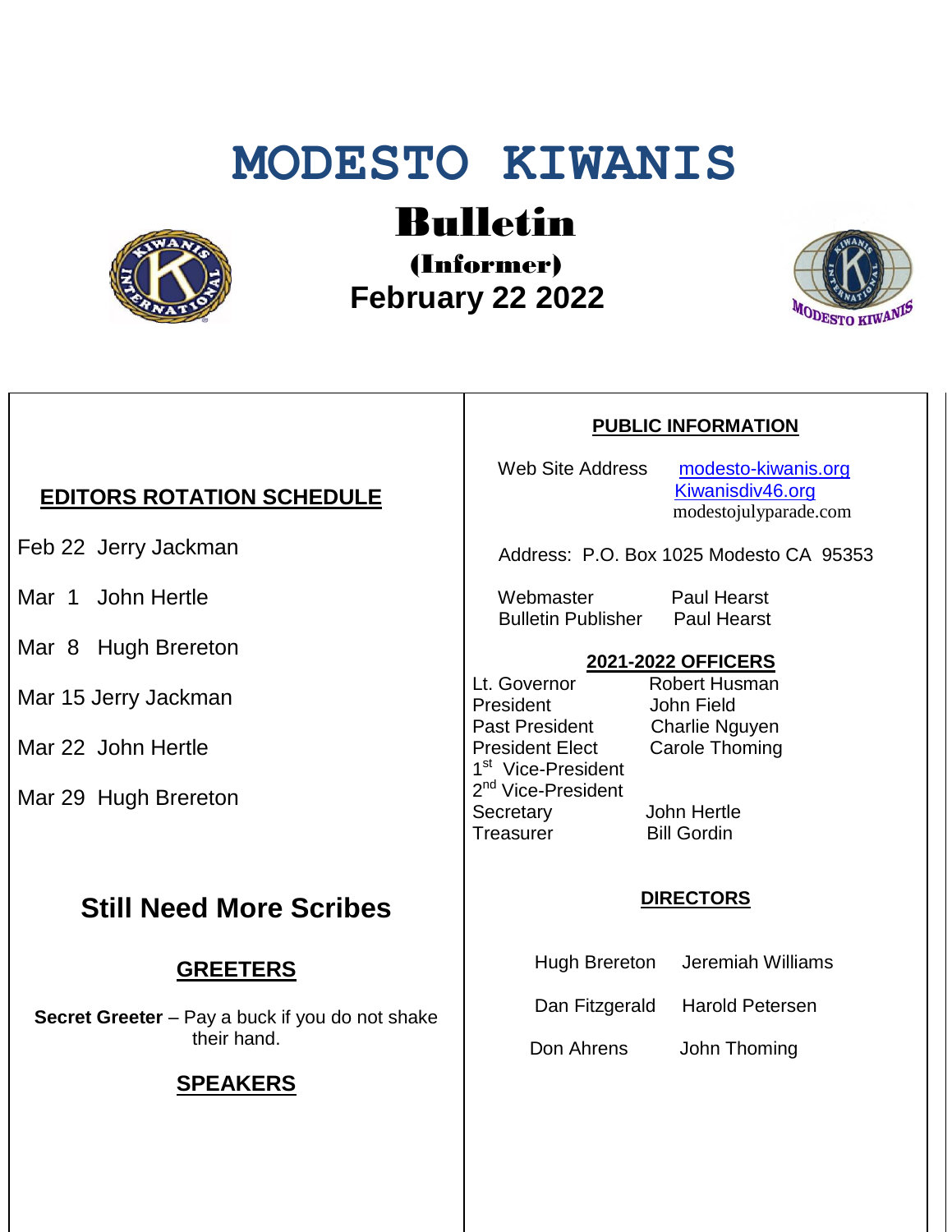# **MODESTO KIWANIS**



# Bulletin

(Informer)  **February 22 2022**



### *EDITORS ROTATION SCHEDULE*

Feb 22 Jerry Jackman

Mar 1 John Hertle

Mar 8 Hugh Brereton

Mar 15 Jerry Jackman

Mar 22 John Hertle

Mar 29 Hugh Brereton

## **Still Need More Scribes**

#### **GREETERS**

**Secret Greeter** – Pay a buck if you do not shake their hand.

#### **SPEAKERS**

#### **PUBLIC INFORMATION**

Web Site Address [modesto-kiwanis.org](http://modesto-kiwanis.org/) [Kiwanisdiv46.org](http://www.kiwanisdiv46.org/) modestojulyparade.com

Address: P.O. Box 1025 Modesto CA 95353

Webmaster Paul Hearst Bulletin Publisher Paul Hearst

#### **2021-2022 OFFICERS**

Lt. Governor Robert Husman President John Field Past President Charlie Nguyen President Elect Carole Thoming 1<sup>st</sup> Vice-President 2<sup>nd</sup> Vice-President Secretary John Hertle Treasurer Bill Gordin

#### **DIRECTORS**

Hugh Brereton Jeremiah Williams

Dan Fitzgerald Harold Petersen

Don Ahrens John Thoming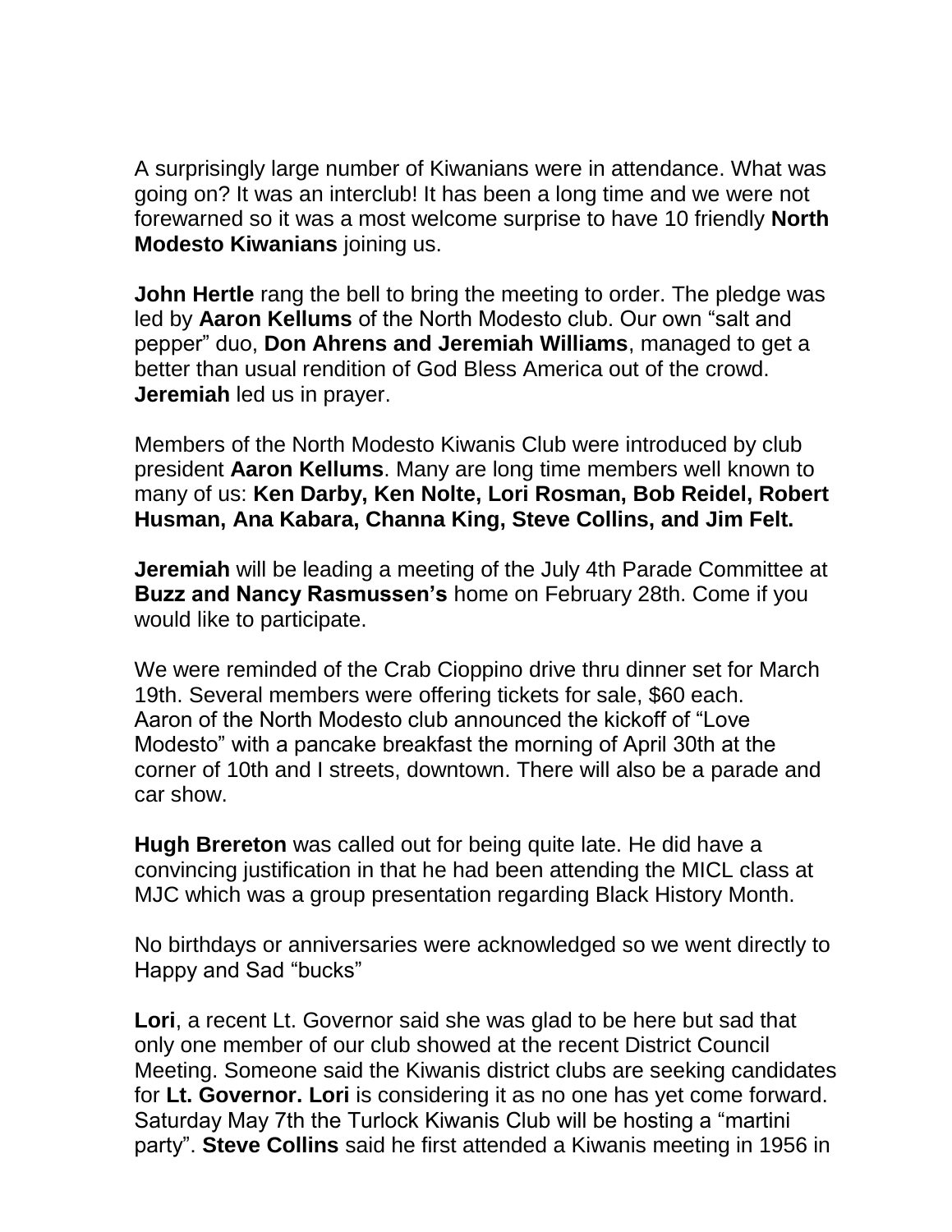A surprisingly large number of Kiwanians were in attendance. What was going on? It was an interclub! It has been a long time and we were not forewarned so it was a most welcome surprise to have 10 friendly **North Modesto Kiwanians** joining us.

**John Hertle** rang the bell to bring the meeting to order. The pledge was led by **Aaron Kellums** of the North Modesto club. Our own "salt and pepper" duo, **Don Ahrens and Jeremiah Williams**, managed to get a better than usual rendition of God Bless America out of the crowd. **Jeremiah** led us in prayer.

Members of the North Modesto Kiwanis Club were introduced by club president **Aaron Kellums**. Many are long time members well known to many of us: **Ken Darby, Ken Nolte, Lori Rosman, Bob Reidel, Robert Husman, Ana Kabara, Channa King, Steve Collins, and Jim Felt.**

**Jeremiah** will be leading a meeting of the July 4th Parade Committee at **Buzz and Nancy Rasmussen's** home on February 28th. Come if you would like to participate.

We were reminded of the Crab Cioppino drive thru dinner set for March 19th. Several members were offering tickets for sale, \$60 each. Aaron of the North Modesto club announced the kickoff of "Love Modesto" with a pancake breakfast the morning of April 30th at the corner of 10th and I streets, downtown. There will also be a parade and car show.

**Hugh Brereton** was called out for being quite late. He did have a convincing justification in that he had been attending the MICL class at MJC which was a group presentation regarding Black History Month.

No birthdays or anniversaries were acknowledged so we went directly to Happy and Sad "bucks"

**Lori**, a recent Lt. Governor said she was glad to be here but sad that only one member of our club showed at the recent District Council Meeting. Someone said the Kiwanis district clubs are seeking candidates for **Lt. Governor. Lori** is considering it as no one has yet come forward. Saturday May 7th the Turlock Kiwanis Club will be hosting a "martini party". **Steve Collins** said he first attended a Kiwanis meeting in 1956 in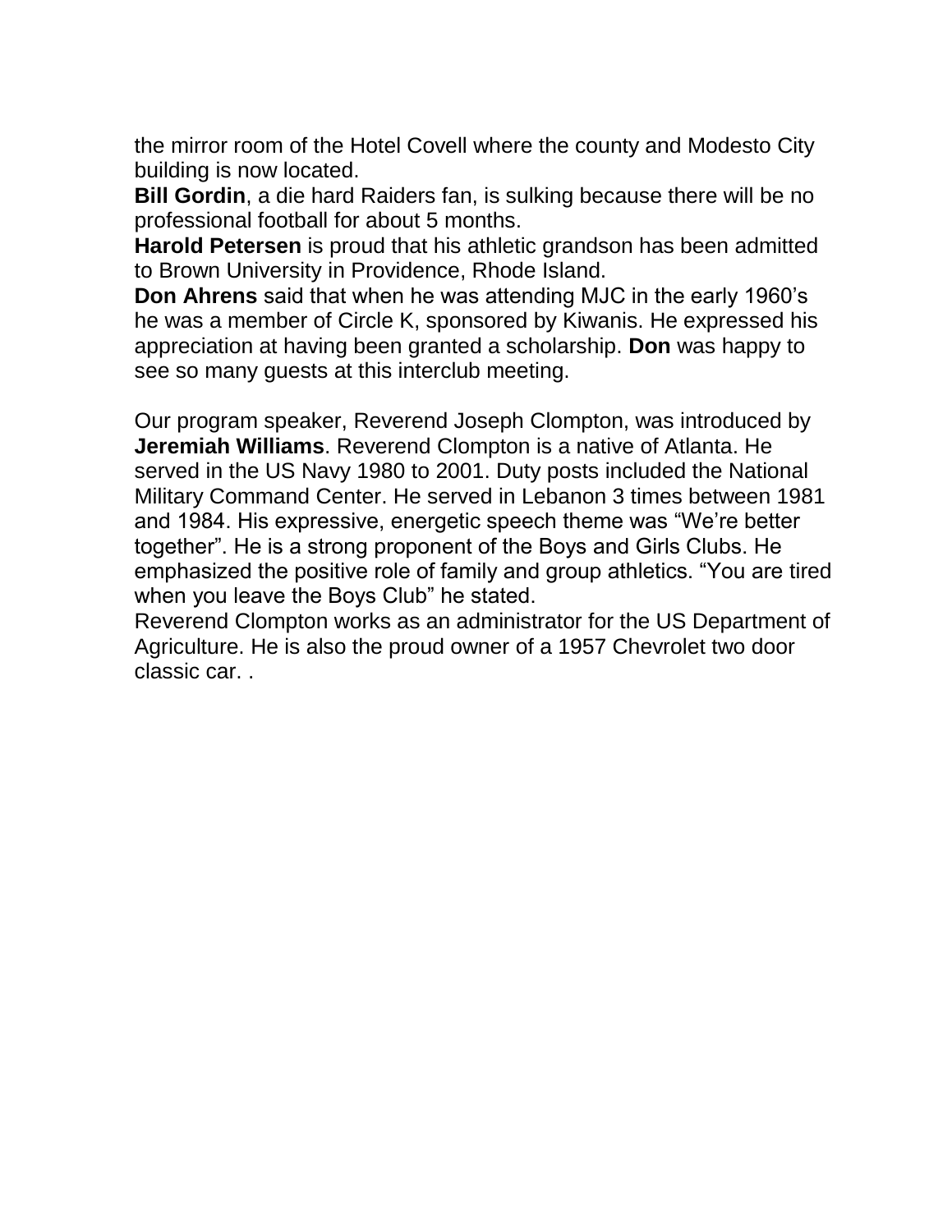the mirror room of the Hotel Covell where the county and Modesto City building is now located.

**Bill Gordin**, a die hard Raiders fan, is sulking because there will be no professional football for about 5 months.

**Harold Petersen** is proud that his athletic grandson has been admitted to Brown University in Providence, Rhode Island.

**Don Ahrens** said that when he was attending MJC in the early 1960's he was a member of Circle K, sponsored by Kiwanis. He expressed his appreciation at having been granted a scholarship. **Don** was happy to see so many guests at this interclub meeting.

Our program speaker, Reverend Joseph Clompton, was introduced by **Jeremiah Williams**. Reverend Clompton is a native of Atlanta. He served in the US Navy 1980 to 2001. Duty posts included the National Military Command Center. He served in Lebanon 3 times between 1981 and 1984. His expressive, energetic speech theme was "We're better together". He is a strong proponent of the Boys and Girls Clubs. He emphasized the positive role of family and group athletics. "You are tired when you leave the Boys Club" he stated.

Reverend Clompton works as an administrator for the US Department of Agriculture. He is also the proud owner of a 1957 Chevrolet two door classic car. .